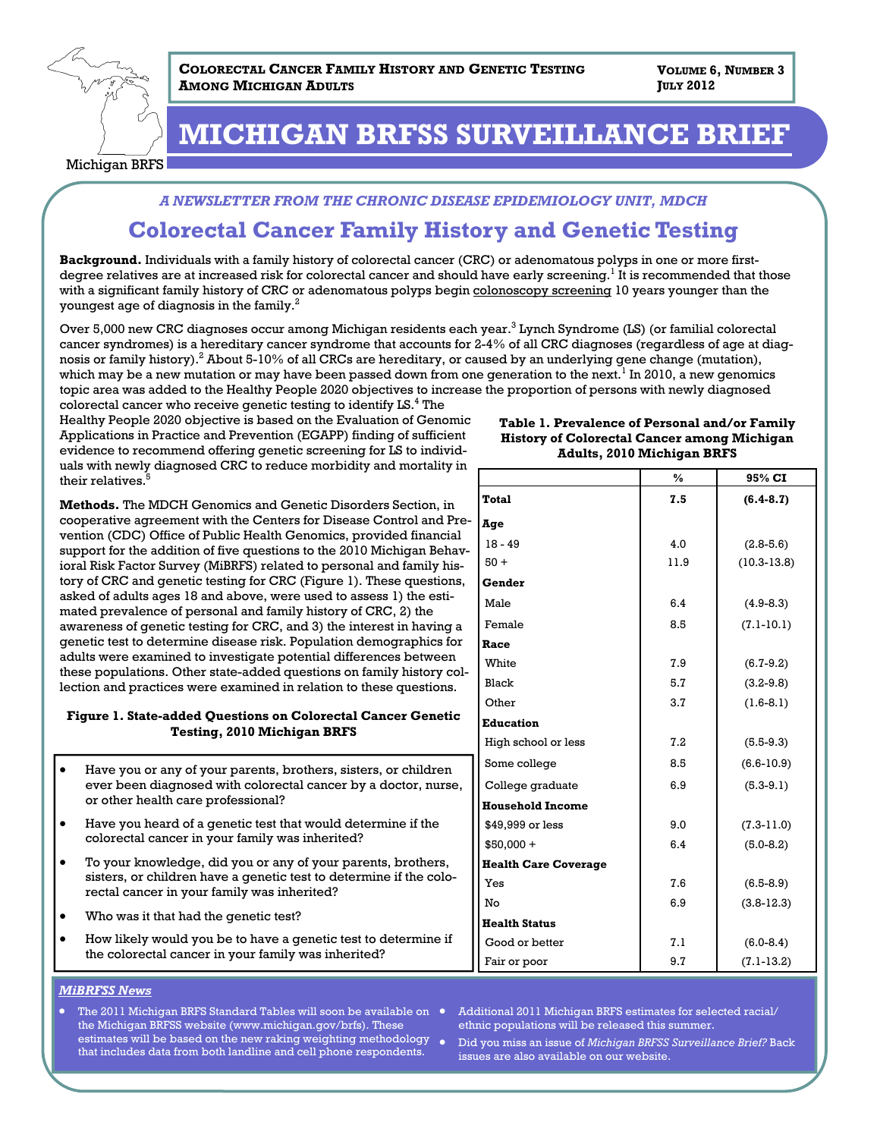

**COLORECTAL CANCER FAMILY HISTORY AND GENETIC TESTING AMONG MICHIGAN ADULTS**

# **MICHIGAN BRFSS SURVEILLANCE BRIEF**

Michigan BRFS

### *A NEWSLETTER FROM THE CHRONIC DISEASE EPIDEMIOLOGY UNIT, MDCH*

# **Colorectal Cancer Family History and Genetic Testing**

**Background.** Individuals with a family history of colorectal cancer (CRC) or adenomatous polyps in one or more firstdegree relatives are at increased risk for colorectal cancer and should have early screening. $^1$  It is recommended that those with a significant family history of CRC or adenomatous polyps begin colonoscopy screening 10 years younger than the youngest age of diagnosis in the family. $^2$ 

Over 5,000 new CRC diagnoses occur among Michigan residents each year. $^3$  Lynch Syndrome (LS) (or familial colorectal cancer syndromes) is a hereditary cancer syndrome that accounts for 2-4% of all CRC diagnoses (regardless of age at diagnosis or family history). $^2$  About 5-10% of all CRCs are hereditary, or caused by an underlying gene change (mutation), which may be a new mutation or may have been passed down from one generation to the next. $^1$  In 2010, a new genomics topic area was added to the Healthy People 2020 objectives to increase the proportion of persons with newly diagnosed

colorectal cancer who receive genetic testing to identify LS. $^4$  The Healthy People 2020 objective is based on the Evaluation of Genomic Applications in Practice and Prevention (EGAPP) finding of sufficient evidence to recommend offering genetic screening for LS to individuals with newly diagnosed CRC to reduce morbidity and mortality in their relatives.<sup>5</sup>

**Methods.** The MDCH Genomics and Genetic Disorders Section, in cooperative agreement with the Centers for Disease Control and Prevention (CDC) Office of Public Health Genomics, provided financial support for the addition of five questions to the 2010 Michigan Behavioral Risk Factor Survey (MiBRFS) related to personal and family history of CRC and genetic testing for CRC (Figure 1). These questions, asked of adults ages 18 and above, were used to assess 1) the estimated prevalence of personal and family history of CRC, 2) the awareness of genetic testing for CRC, and 3) the interest in having a genetic test to determine disease risk. Population demographics for adults were examined to investigate potential differences between these populations. Other state-added questions on family history collection and practices were examined in relation to these questions.

#### **Figure 1. State-added Questions on Colorectal Cancer Genetic Testing, 2010 Michigan BRFS**

- Have you or any of your parents, brothers, sisters, or children ever been diagnosed with colorectal cancer by a doctor, nurse, or other health care professional?
- Have you heard of a genetic test that would determine if the colorectal cancer in your family was inherited?
- To your knowledge, did you or any of your parents, brothers, sisters, or children have a genetic test to determine if the colorectal cancer in your family was inherited?
- Who was it that had the genetic test?
- How likely would you be to have a genetic test to determine if the colorectal cancer in your family was inherited?

#### **Table 1. Prevalence of Personal and/or Family History of Colorectal Cancer among Michigan Adults, 2010 Michigan BRFS**

|                             | $\frac{0}{0}$ | 95% CI          |
|-----------------------------|---------------|-----------------|
| <b>Total</b>                | 7.5           | $(6.4 - 8.7)$   |
| Age                         |               |                 |
| $18 - 49$                   | 4.0           | $(2.8 - 5.6)$   |
| $50+$                       | 11.9          | $(10.3 - 13.8)$ |
| Gender                      |               |                 |
| Male                        | 6.4           | $(4.9 - 8.3)$   |
| Female                      | 8.5           | $(7.1 - 10.1)$  |
| Race                        |               |                 |
| White                       | 7.9           | $(6.7 - 9.2)$   |
| Black                       | 5.7           | $(3.2 - 9.8)$   |
| Other                       | 3.7           | $(1.6-8.1)$     |
| <b>Education</b>            |               |                 |
| High school or less         | 7.2           | $(5.5-9.3)$     |
| Some college                | 8.5           | $(6.6 - 10.9)$  |
| College graduate            | 6.9           | $(5.3-9.1)$     |
| <b>Household Income</b>     |               |                 |
| \$49,999 or less            | 9.0           | $(7.3 - 11.0)$  |
| $$50,000 +$                 | 6.4           | $(5.0 - 8.2)$   |
| <b>Health Care Coverage</b> |               |                 |
| Yes                         | 7.6           | $(6.5 - 8.9)$   |
| No                          | 6.9           | $(3.8-12.3)$    |
| <b>Health Status</b>        |               |                 |
| Good or better              | 7.1           | $(6.0 - 8.4)$   |
| Fair or poor                | 9.7           | $(7.1-13.2)$    |

#### *MiBRFSS News*

- The 2011 Michigan BRFS Standard Tables will soon be available on  $\bullet$ the Michigan BRFSS website (www.michigan.gov/brfs). These estimates will be based on the new raking weighting methodology that includes data from both landline and cell phone respondents.
- Additional 2011 Michigan BRFS estimates for selected racial/ ethnic populations will be released this summer.

 Did you miss an issue of *Michigan BRFSS Surveillance Brief?* Back issues are also available on our website.